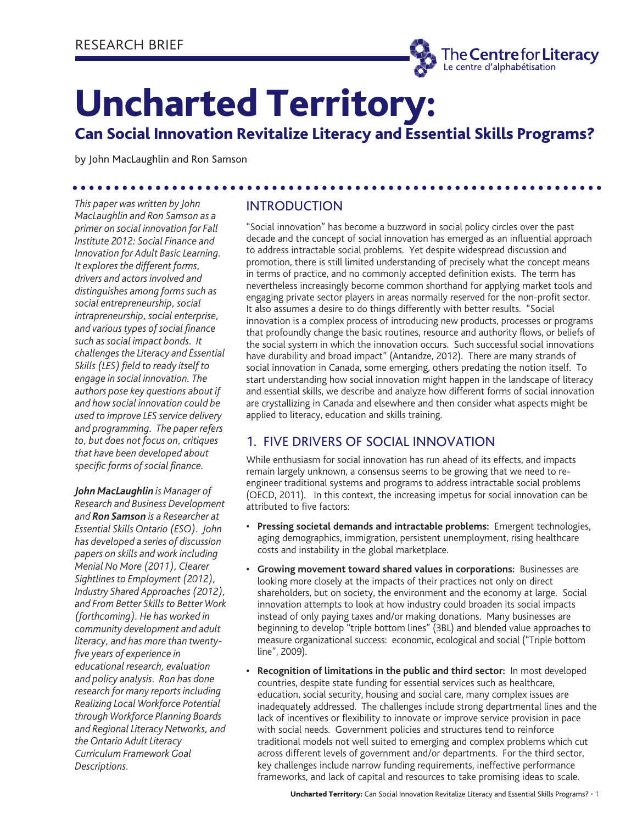

# Uncharted Territory:

# Can Social Innovation Revitalize Literacy and Essential Skills Programs?

by John MacLaughlin and Ron Samson

*This paper was written by John MacLaughlin and Ron Samson as a primer on social innovation for Fall Institute 2012: Social Finance and Innovation for Adult Basic Learning. It explores the different forms, drivers and actors involved and distinguishes among forms such as social entrepreneurship, social intrapreneurship, social enterprise, and various types of social finance such as social impact bonds. It challenges the Literacy and Essential Skills (LES) field to ready itself to engage in social innovation. The authors pose key questions about if and how social innovation could be used to improve LES service delivery and programming. The paper refers to, but does not focus on, critiques that have been developed about specific forms of social finance.* 

*John MacLaughlin is Manager of Research and Business Development and Ron Samson is a Researcher at Essential Skills Ontario (ESO). John has developed a series of discussion papers on skills and work including Menial No More (2011), Clearer Sightlines to Employment (2012), Industry Shared Approaches (2012), and From Better Skills to Better Work (forthcoming). He has worked in community development and adult literacy, and has more than twentyfive years of experience in educational research, evaluation and policy analysis. Ron has done research for many reports including Realizing Local Workforce Potential through Workforce Planning Boards and Regional Literacy Networks, and the Ontario Adult Literacy Curriculum Framework Goal Descriptions.* 

# INTRODUCTION

"Social innovation" has become a buzzword in social policy circles over the past decade and the concept of social innovation has emerged as an influential approach to address intractable social problems. Yet despite widespread discussion and promotion, there is still limited understanding of precisely what the concept means in terms of practice, and no commonly accepted definition exists. The term has nevertheless increasingly become common shorthand for applying market tools and engaging private sector players in areas normally reserved for the non-profit sector. It also assumes a desire to do things differently with better results. "Social innovation is a complex process of introducing new products, processes or programs that profoundly change the basic routines, resource and authority flows, or beliefs of the social system in which the innovation occurs. Such successful social innovations have durability and broad impact" (Antandze, 2012). There are many strands of social innovation in Canada, some emerging, others predating the notion itself. To start understanding how social innovation might happen in the landscape of literacy and essential skills, we describe and analyze how different forms of social innovation are crystallizing in Canada and elsewhere and then consider what aspects might be applied to literacy, education and skills training.

# 1. FIVE DRIVERS OF SOCIAL INNOVATION

While enthusiasm for social innovation has run ahead of its effects, and impacts remain largely unknown, a consensus seems to be growing that we need to reengineer traditional systems and programs to address intractable social problems (OECD, 2011). In this context, the increasing impetus for social innovation can be attributed to five factors:

- **Pressing societal demands and intractable problems:** Emergent technologies, aging demographics, immigration, persistent unemployment, rising healthcare costs and instability in the global marketplace.
- **Growing movement toward shared values in corporations:** Businesses are looking more closely at the impacts of their practices not only on direct shareholders, but on society, the environment and the economy at large. Social innovation attempts to look at how industry could broaden its social impacts instead of only paying taxes and/or making donations. Many businesses are beginning to develop "triple bottom lines" (3BL) and blended value approaches to measure organizational success: economic, ecological and social ("Triple bottom line", 2009).
- **Recognition of limitations in the public and third sector:** In most developed countries, despite state funding for essential services such as healthcare, education, social security, housing and social care, many complex issues are inadequately addressed. The challenges include strong departmental lines and the lack of incentives or flexibility to innovate or improve service provision in pace with social needs. Government policies and structures tend to reinforce traditional models not well suited to emerging and complex problems which cut across different levels of government and/or departments. For the third sector, key challenges include narrow funding requirements, ineffective performance frameworks, and lack of capital and resources to take promising ideas to scale.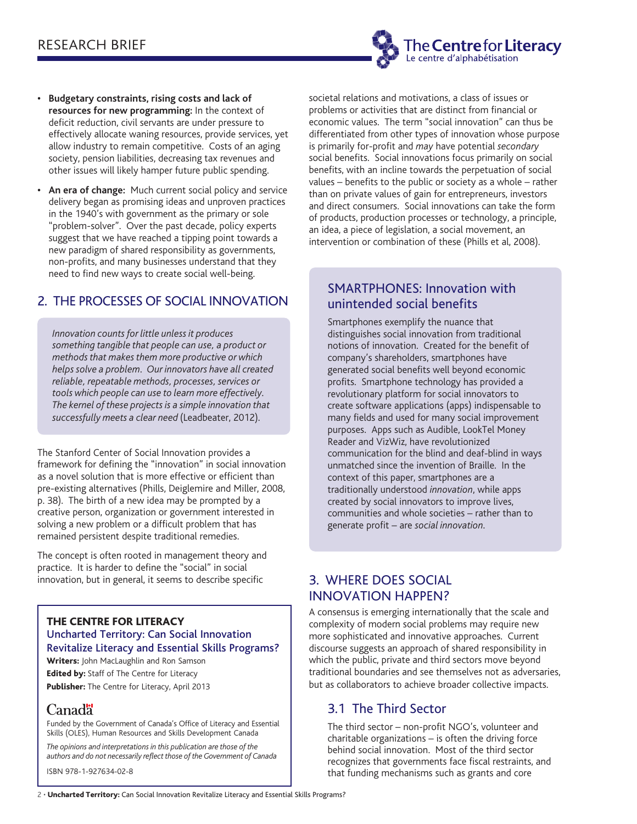

- **Budgetary constraints, rising costs and lack of resources for new programming:** In the context of deficit reduction, civil servants are under pressure to effectively allocate waning resources, provide services, yet allow industry to remain competitive. Costs of an aging society, pension liabilities, decreasing tax revenues and other issues will likely hamper future public spending.
- **An era of change:** Much current social policy and service delivery began as promising ideas and unproven practices in the 1940's with government as the primary or sole "problem-solver". Over the past decade, policy experts suggest that we have reached a tipping point towards a new paradigm of shared responsibility as governments, non-profits, and many businesses understand that they need to find new ways to create social well-being.

# 2. THE PROCESSES OF SOCIAL INNOVATION

*Innovation counts for little unless it produces something tangible that people can use, a product or methods that makes them more productive or which helps solve a problem. Our innovators have all created reliable, repeatable methods, processes, services or tools which people can use to learn more effectively. The kernel of these projects is a simple innovation that successfully meets a clear need* (Leadbeater, 2012).

The Stanford Center of Social Innovation provides a framework for defining the "innovation" in social innovation as a novel solution that is more effective or efficient than pre-existing alternatives (Phills, Deiglemire and Miller, 2008, p. 38). The birth of a new idea may be prompted by a creative person, organization or government interested in solving a new problem or a difficult problem that has remained persistent despite traditional remedies.

The concept is often rooted in management theory and practice. It is harder to define the "social" in social innovation, but in general, it seems to describe specific

#### THE CENTRE FOR LITERACY Uncharted Territory: Can Social Innovation Revitalize Literacy and Essential Skills Programs?

Writers: John MacLaughlin and Ron Samson **Edited by:** Staff of The Centre for Literacy

Publisher: The Centre for Literacy, April 2013

# Canada

Funded by the Government of Canada's Office of Literacy and Essential Skills (OLES), Human Resources and Skills Development Canada

*The opinions and interpretations in this publication are those of the authors and do not necessarily reflect those of the Government of Canada*

ISBN 978-1-927634-02-8

societal relations and motivations, a class of issues or problems or activities that are distinct from financial or economic values. The term "social innovation" can thus be differentiated from other types of innovation whose purpose is primarily for-profit and *may* have potential *secondary* social benefits. Social innovations focus primarily on social benefits, with an incline towards the perpetuation of social values – benefits to the public or society as a whole – rather than on private values of gain for entrepreneurs, investors and direct consumers. Social innovations can take the form of products, production processes or technology, a principle, an idea, a piece of legislation, a social movement, an intervention or combination of these (Phills et al, 2008).

# SMARTPHONES: Innovation with unintended social benefits

Smartphones exemplify the nuance that distinguishes social innovation from traditional notions of innovation. Created for the benefit of company's shareholders, smartphones have generated social benefits well beyond economic profits. Smartphone technology has provided a revolutionary platform for social innovators to create software applications (apps) indispensable to many fields and used for many social improvement purposes. Apps such as Audible, LookTel Money Reader and VizWiz, have revolutionized communication for the blind and deaf-blind in ways unmatched since the invention of Braille. In the context of this paper, smartphones are a traditionally understood *innovation*, while apps created by social innovators to improve lives, communities and whole societies – rather than to generate profit – are *social innovation.*

## 3. WHERE DOES SOCIAL INNOVATION HAPPEN?

A consensus is emerging internationally that the scale and complexity of modern social problems may require new more sophisticated and innovative approaches. Current discourse suggests an approach of shared responsibility in which the public, private and third sectors move beyond traditional boundaries and see themselves not as adversaries, but as collaborators to achieve broader collective impacts.

# 3.1 The Third Sector

The third sector – non-profit NGO's, volunteer and charitable organizations – is often the driving force behind social innovation. Most of the third sector recognizes that governments face fiscal restraints, and that funding mechanisms such as grants and core

2 · Uncharted Territory: Can Social Innovation Revitalize Literacy and Essential Skills Programs?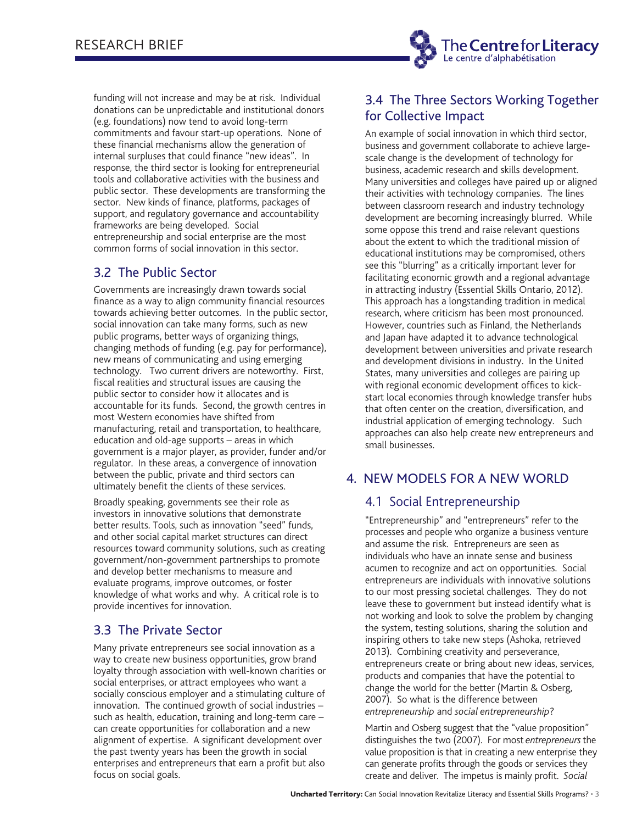

funding will not increase and may be at risk. Individual donations can be unpredictable and institutional donors (e.g. foundations) now tend to avoid long-term commitments and favour start-up operations. None of these financial mechanisms allow the generation of internal surpluses that could finance "new ideas". In response, the third sector is looking for entrepreneurial tools and collaborative activities with the business and public sector. These developments are transforming the sector. New kinds of finance, platforms, packages of support, and regulatory governance and accountability frameworks are being developed. Social entrepreneurship and social enterprise are the most common forms of social innovation in this sector.

# 3.2 The Public Sector

Governments are increasingly drawn towards social finance as a way to align community financial resources towards achieving better outcomes. In the public sector, social innovation can take many forms, such as new public programs, better ways of organizing things, changing methods of funding (e.g. pay for performance), new means of communicating and using emerging technology. Two current drivers are noteworthy. First, fiscal realities and structural issues are causing the public sector to consider how it allocates and is accountable for its funds. Second, the growth centres in most Western economies have shifted from manufacturing, retail and transportation, to healthcare, education and old-age supports – areas in which government is a major player, as provider, funder and/or regulator. In these areas, a convergence of innovation between the public, private and third sectors can ultimately benefit the clients of these services.

Broadly speaking, governments see their role as investors in innovative solutions that demonstrate better results. Tools, such as innovation "seed" funds, and other social capital market structures can direct resources toward community solutions, such as creating government/non-government partnerships to promote and develop better mechanisms to measure and evaluate programs, improve outcomes, or foster knowledge of what works and why. A critical role is to provide incentives for innovation.

## 3.3 The Private Sector

Many private entrepreneurs see social innovation as a way to create new business opportunities, grow brand loyalty through association with well-known charities or social enterprises, or attract employees who want a socially conscious employer and a stimulating culture of innovation. The continued growth of social industries – such as health, education, training and long-term care – can create opportunities for collaboration and a new alignment of expertise. A significant development over the past twenty years has been the growth in social enterprises and entrepreneurs that earn a profit but also focus on social goals.

# 3.4 The Three Sectors Working Together for Collective Impact

An example of social innovation in which third sector, business and government collaborate to achieve largescale change is the development of technology for business, academic research and skills development. Many universities and colleges have paired up or aligned their activities with technology companies. The lines between classroom research and industry technology development are becoming increasingly blurred. While some oppose this trend and raise relevant questions about the extent to which the traditional mission of educational institutions may be compromised, others see this "blurring" as a critically important lever for facilitating economic growth and a regional advantage in attracting industry (Essential Skills Ontario, 2012). This approach has a longstanding tradition in medical research, where criticism has been most pronounced. However, countries such as Finland, the Netherlands and Japan have adapted it to advance technological development between universities and private research and development divisions in industry. In the United States, many universities and colleges are pairing up with regional economic development offices to kickstart local economies through knowledge transfer hubs that often center on the creation, diversification, and industrial application of emerging technology. Such approaches can also help create new entrepreneurs and small businesses.

# 4. NEW MODELS FOR A NEW WORLD

## 4.1 Social Entrepreneurship

"Entrepreneurship" and "entrepreneurs" refer to the processes and people who organize a business venture and assume the risk. Entrepreneurs are seen as individuals who have an innate sense and business acumen to recognize and act on opportunities. Social entrepreneurs are individuals with innovative solutions to our most pressing societal challenges. They do not leave these to government but instead identify what is not working and look to solve the problem by changing the system, testing solutions, sharing the solution and inspiring others to take new steps (Ashoka, retrieved 2013). Combining creativity and perseverance, entrepreneurs create or bring about new ideas, services, products and companies that have the potential to change the world for the better (Martin & Osberg, 2007). So what is the difference between *entrepreneurship* and *social entrepreneurship*?

Martin and Osberg suggest that the "value proposition" distinguishes the two (2007). For most *entrepreneurs* the value proposition is that in creating a new enterprise they can generate profits through the goods or services they create and deliver. The impetus is mainly profit. *Social*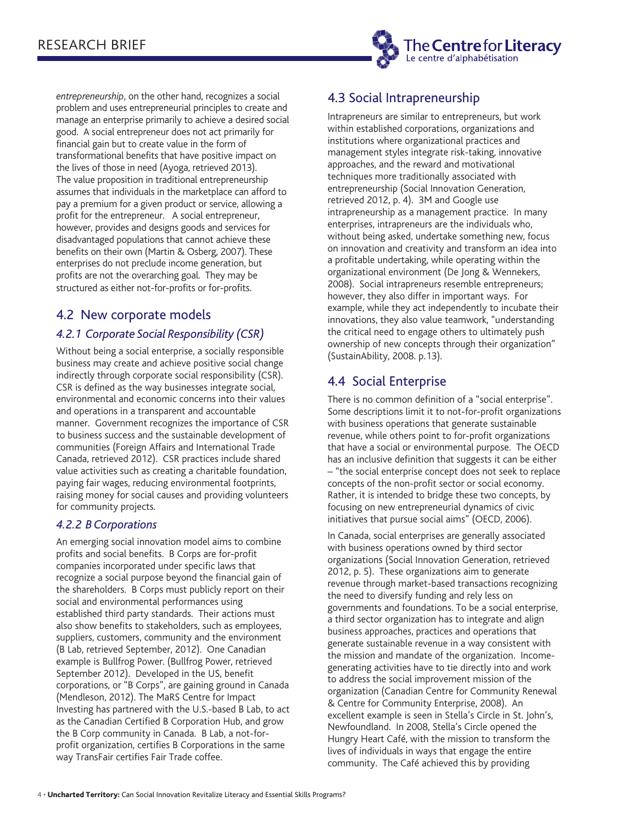

*entrepreneurship*, on the other hand, recognizes a social problem and uses entrepreneurial principles to create and manage an enterprise primarily to achieve a desired social good. A social entrepreneur does not act primarily for financial gain but to create value in the form of transformational benefits that have positive impact on the lives of those in need (Ayoga, retrieved 2013). The value proposition in traditional entrepreneurship assumes that individuals in the marketplace can afford to pay a premium for a given product or service, allowing a profit for the entrepreneur. A social entrepreneur, however, provides and designs goods and services for disadvantaged populations that cannot achieve these benefits on their own (Martin & Osberg, 2007). These enterprises do not preclude income generation, but profits are not the overarching goal. They may be structured as either not-for-profits or for-profits.

## 4.2 New corporate models

## *4.2.1 Corporate Social Responsibility (CSR)*

Without being a social enterprise, a socially responsible business may create and achieve positive social change indirectly through corporate social responsibility (CSR). CSR is defined as the way businesses integrate social, environmental and economic concerns into their values and operations in a transparent and accountable manner. Government recognizes the importance of CSR to business success and the sustainable development of communities (Foreign Affairs and International Trade Canada, retrieved 2012). CSR practices include shared value activities such as creating a charitable foundation, paying fair wages, reducing environmental footprints, raising money for social causes and providing volunteers for community projects.

#### *4.2.2 B Corporations*

An emerging social innovation model aims to combine profits and social benefits. B Corps are for-profit companies incorporated under specific laws that recognize a social purpose beyond the financial gain of the shareholders. B Corps must publicly report on their social and environmental performances using established third party standards. Their actions must also show benefits to stakeholders, such as employees, suppliers, customers, community and the environment (B Lab, retrieved September, 2012). One Canadian example is Bullfrog Power. (Bullfrog Power, retrieved September 2012). Developed in the US, benefit corporations, or "B Corps", are gaining ground in Canada (Mendleson, 2012). The MaRS Centre for Impact Investing has partnered with the U.S.-based B Lab, to act as the Canadian Certified B Corporation Hub, and grow the B Corp community in Canada. B Lab, a not-forprofit organization, certifies B Corporations in the same way TransFair certifies Fair Trade coffee.

# 4.3 Social Intrapreneurship

Intrapreneurs are similar to entrepreneurs, but work within established corporations, organizations and institutions where organizational practices and management styles integrate risk-taking, innovative approaches, and the reward and motivational techniques more traditionally associated with entrepreneurship (Social Innovation Generation, retrieved 2012, p. 4). 3M and Google use intrapreneurship as a management practice. In many enterprises, intrapreneurs are the individuals who, without being asked, undertake something new, focus on innovation and creativity and transform an idea into a profitable undertaking, while operating within the organizational environment (De Jong & Wennekers, 2008). Social intrapreneurs resemble entrepreneurs; however, they also differ in important ways. For example, while they act independently to incubate their innovations, they also value teamwork, "understanding the critical need to engage others to ultimately push ownership of new concepts through their organization" (SustainAbility, 2008. p.13).

## 4.4 Social Enterprise

There is no common definition of a "social enterprise". Some descriptions limit it to not-for-profit organizations with business operations that generate sustainable revenue, while others point to for-profit organizations that have a social or environmental purpose. The OECD has an inclusive definition that suggests it can be either – "the social enterprise concept does not seek to replace concepts of the non-profit sector or social economy. Rather, it is intended to bridge these two concepts, by focusing on new entrepreneurial dynamics of civic initiatives that pursue social aims" (OECD, 2006).

In Canada, social enterprises are generally associated with business operations owned by third sector organizations (Social Innovation Generation, retrieved 2012, p. 5). These organizations aim to generate revenue through market-based transactions recognizing the need to diversify funding and rely less on governments and foundations. To be a social enterprise, a third sector organization has to integrate and align business approaches, practices and operations that generate sustainable revenue in a way consistent with the mission and mandate of the organization. Incomegenerating activities have to tie directly into and work to address the social improvement mission of the organization (Canadian Centre for Community Renewal & Centre for Community Enterprise, 2008). An excellent example is seen in Stella's Circle in St. John's, Newfoundland. In 2008, Stella's Circle opened the Hungry Heart Café, with the mission to transform the lives of individuals in ways that engage the entire community. The Café achieved this by providing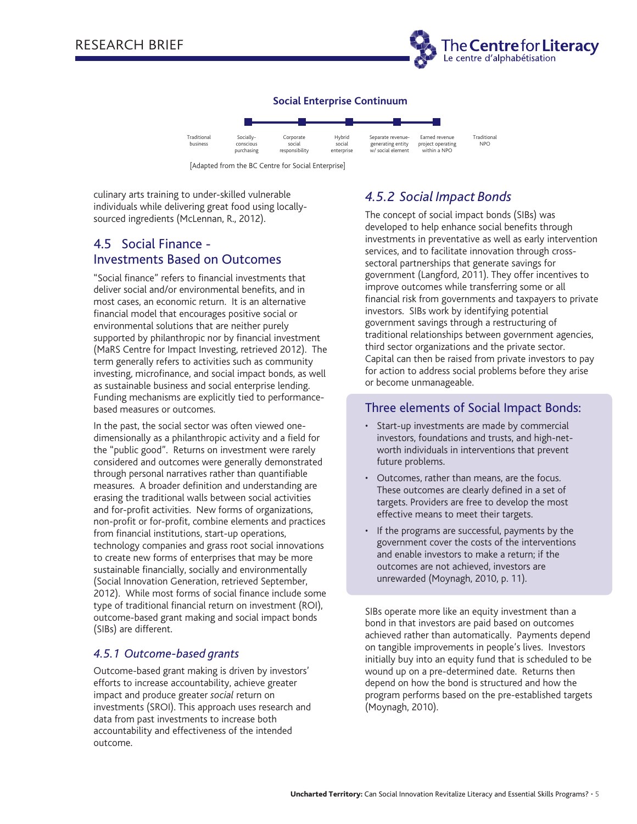

#### **Social Enterprise Continuum**



[Adapted from the BC Centre for Social Enterprise]

culinary arts training to under-skilled vulnerable individuals while delivering great food using locallysourced ingredients (McLennan, R., 2012).

# 4.5 Social Finance - Investments Based on Outcomes

"Social finance" refers to financial investments that deliver social and/or environmental benefits, and in most cases, an economic return. It is an alternative financial model that encourages positive social or environmental solutions that are neither purely supported by philanthropic nor by financial investment (MaRS Centre for Impact Investing, retrieved 2012). The term generally refers to activities such as community investing, microfinance, and social impact bonds, as well as sustainable business and social enterprise lending. Funding mechanisms are explicitly tied to performancebased measures or outcomes.

In the past, the social sector was often viewed onedimensionally as a philanthropic activity and a field for the "public good". Returns on investment were rarely considered and outcomes were generally demonstrated through personal narratives rather than quantifiable measures. A broader definition and understanding are erasing the traditional walls between social activities and for-profit activities. New forms of organizations, non-profit or for-profit, combine elements and practices from financial institutions, start-up operations, technology companies and grass root social innovations to create new forms of enterprises that may be more sustainable financially, socially and environmentally (Social Innovation Generation, retrieved September, 2012). While most forms of social finance include some type of traditional financial return on investment (ROI), outcome-based grant making and social impact bonds (SIBs) are different.

## *4.5.1 Outcome-based grants*

Outcome-based grant making is driven by investors' efforts to increase accountability, achieve greater impact and produce greater *social* return on investments (SROI). This approach uses research and data from past investments to increase both accountability and effectiveness of the intended outcome.

# *4.5.2 Social Impact Bonds*

The concept of social impact bonds (SIBs) was developed to help enhance social benefits through investments in preventative as well as early intervention services, and to facilitate innovation through crosssectoral partnerships that generate savings for government (Langford, 2011). They offer incentives to improve outcomes while transferring some or all financial risk from governments and taxpayers to private investors. SIBs work by identifying potential government savings through a restructuring of traditional relationships between government agencies, third sector organizations and the private sector. Capital can then be raised from private investors to pay for action to address social problems before they arise or become unmanageable.

## Three elements of Social Impact Bonds:

- Start-up investments are made by commercial investors, foundations and trusts, and high-networth individuals in interventions that prevent future problems.
- Outcomes, rather than means, are the focus. These outcomes are clearly defined in a set of targets. Providers are free to develop the most effective means to meet their targets.
- If the programs are successful, payments by the government cover the costs of the interventions and enable investors to make a return; if the outcomes are not achieved, investors are unrewarded (Moynagh, 2010, p. 11).

SIBs operate more like an equity investment than a bond in that investors are paid based on outcomes achieved rather than automatically. Payments depend on tangible improvements in people's lives. Investors initially buy into an equity fund that is scheduled to be wound up on a pre-determined date. Returns then depend on how the bond is structured and how the program performs based on the pre-established targets (Moynagh, 2010).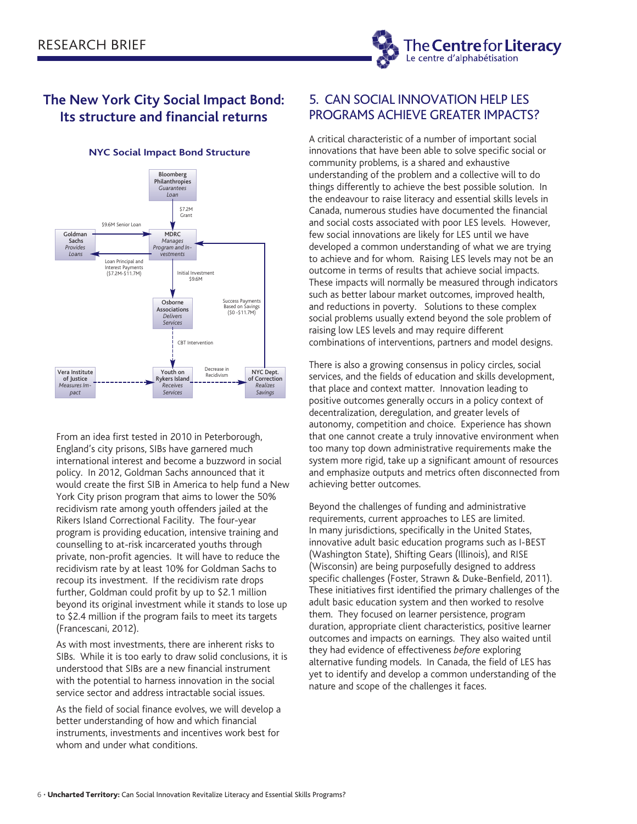

# **The New York City Social Impact Bond: Its structure and financial returns**



#### **NYC Social Impact Bond Structure**

From an idea first tested in 2010 in Peterborough, England's city prisons, SIBs have garnered much international interest and become a buzzword in social policy. In 2012, Goldman Sachs announced that it would create the first SIB in America to help fund a New York City prison program that aims to lower the 50% recidivism rate among youth offenders jailed at the Rikers Island Correctional Facility. The four-year program is providing education, intensive training and counselling to at-risk incarcerated youths through private, non-profit agencies. It will have to reduce the recidivism rate by at least 10% for Goldman Sachs to recoup its investment. If the recidivism rate drops further, Goldman could profit by up to \$2.1 million beyond its original investment while it stands to lose up to \$2.4 million if the program fails to meet its targets (Francescani, 2012).

As with most investments, there are inherent risks to SIBs. While it is too early to draw solid conclusions, it is understood that SIBs are a new financial instrument with the potential to harness innovation in the social service sector and address intractable social issues.

As the field of social finance evolves, we will develop a better understanding of how and which financial instruments, investments and incentives work best for whom and under what conditions.

## 5. CAN SOCIAL INNOVATION HELP LES PROGRAMS ACHIEVE GREATER IMPACTS?

A critical characteristic of a number of important social innovations that have been able to solve specific social or community problems, is a shared and exhaustive understanding of the problem and a collective will to do things differently to achieve the best possible solution. In the endeavour to raise literacy and essential skills levels in Canada, numerous studies have documented the financial and social costs associated with poor LES levels. However, few social innovations are likely for LES until we have developed a common understanding of what we are trying to achieve and for whom. Raising LES levels may not be an outcome in terms of results that achieve social impacts. These impacts will normally be measured through indicators such as better labour market outcomes, improved health, and reductions in poverty. Solutions to these complex social problems usually extend beyond the sole problem of raising low LES levels and may require different combinations of interventions, partners and model designs.

There is also a growing consensus in policy circles, social services, and the fields of education and skills development, that place and context matter. Innovation leading to positive outcomes generally occurs in a policy context of decentralization, deregulation, and greater levels of autonomy, competition and choice. Experience has shown that one cannot create a truly innovative environment when too many top down administrative requirements make the system more rigid, take up a significant amount of resources and emphasize outputs and metrics often disconnected from achieving better outcomes.

Beyond the challenges of funding and administrative requirements, current approaches to LES are limited. In many jurisdictions, specifically in the United States, innovative adult basic education programs such as I-BEST (Washington State), Shifting Gears (Illinois), and RISE (Wisconsin) are being purposefully designed to address specific challenges (Foster, Strawn & Duke-Benfield, 2011). These initiatives first identified the primary challenges of the adult basic education system and then worked to resolve them. They focused on learner persistence, program duration, appropriate client characteristics, positive learner outcomes and impacts on earnings. They also waited until they had evidence of effectiveness *before* exploring alternative funding models. In Canada, the field of LES has yet to identify and develop a common understanding of the nature and scope of the challenges it faces.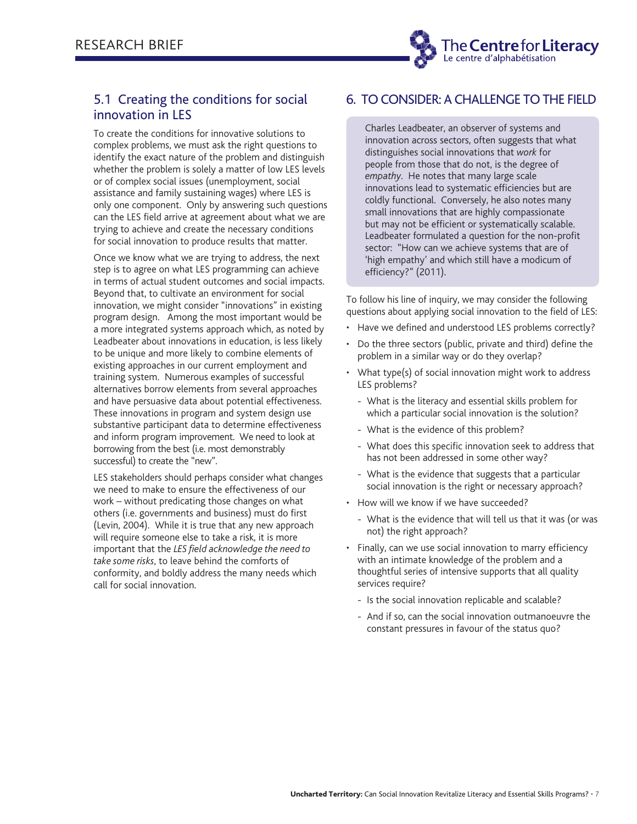

## 5.1 Creating the conditions for social innovation in LES

To create the conditions for innovative solutions to complex problems, we must ask the right questions to identify the exact nature of the problem and distinguish whether the problem is solely a matter of low LES levels or of complex social issues (unemployment, social assistance and family sustaining wages) where LES is only one component. Only by answering such questions can the LES field arrive at agreement about what we are trying to achieve and create the necessary conditions for social innovation to produce results that matter.

Once we know what we are trying to address, the next step is to agree on what LES programming can achieve in terms of actual student outcomes and social impacts. Beyond that, to cultivate an environment for social innovation, we might consider "innovations" in existing program design. Among the most important would be a more integrated systems approach which, as noted by Leadbeater about innovations in education, is less likely to be unique and more likely to combine elements of existing approaches in our current employment and training system. Numerous examples of successful alternatives borrow elements from several approaches and have persuasive data about potential effectiveness. These innovations in program and system design use substantive participant data to determine effectiveness and inform program improvement. We need to look at borrowing from the best (i.e. most demonstrably successful) to create the "new".

LES stakeholders should perhaps consider what changes we need to make to ensure the effectiveness of our work – without predicating those changes on what others (i.e. governments and business) must do first (Levin, 2004). While it is true that any new approach will require someone else to take a risk, it is more important that the *LES field acknowledge the need to take some risks*, to leave behind the comforts of conformity, and boldly address the many needs which call for social innovation.

## 6. TO CONSIDER: A CHALLENGE TO THE FIELD

Charles Leadbeater, an observer of systems and innovation across sectors, often suggests that what distinguishes social innovations that *work* for people from those that do not, is the degree of *empathy*. He notes that many large scale innovations lead to systematic efficiencies but are coldly functional. Conversely, he also notes many small innovations that are highly compassionate but may not be efficient or systematically scalable. Leadbeater formulated a question for the non-profit sector: "How can we achieve systems that are of 'high empathy' and which still have a modicum of efficiency?" (2011).

To follow his line of inquiry, we may consider the following questions about applying social innovation to the field of LES:

- Have we defined and understood LES problems correctly?
- Do the three sectors (public, private and third) define the problem in a similar way or do they overlap?
- What type(s) of social innovation might work to address LES problems?
	- What is the literacy and essential skills problem for which a particular social innovation is the solution?
	- What is the evidence of this problem?
	- What does this specific innovation seek to address that has not been addressed in some other way?
	- What is the evidence that suggests that a particular social innovation is the right or necessary approach?
- How will we know if we have succeeded?
	- What is the evidence that will tell us that it was (or was not) the right approach?
- Finally, can we use social innovation to marry efficiency with an intimate knowledge of the problem and a thoughtful series of intensive supports that all quality services require?
	- Is the social innovation replicable and scalable?
	- And if so, can the social innovation outmanoeuvre the constant pressures in favour of the status quo?